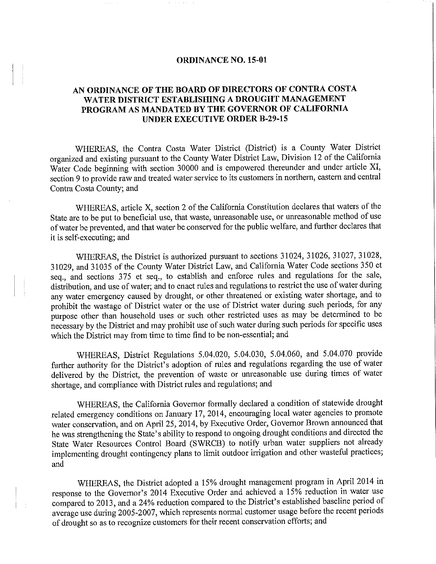#### **ORDINANCE NO. 15-01**

# **AN ORDINANCE OF THE BOARD OF DIRECTORS OF CONTRA COSTA WATER DISTRICT ESTABLISHING A DROUGHT MANAGEMENT PROGRAM AS MANDATED BY THE GOVERNOR OF CALIFORNIA UNDER EXECUTIVE ORDER B-29-15**

WHEREAS, the Contra Costa Water District (District) is a County Water District organized and existing pursuant to the County Water District Law, Division 12 of the California Water Code beginning with section 30000 and is empowered thereunder and under article XI, section 9 to provide raw and treated water service to its customers in northern, eastern and central Contra Costa County; and

WHEREAS, article X, section 2 of the California Constitution declares that waters of the State are to be put to beneficial use, that waste, unreasonable use, or unreasonable method of use of water be prevented, and that water be conserved for the public welfare, and further declares that it is self-executing; and

WHEREAS, the District is authorized pursuant to sections 31024, 31026, 31027, 31028, 31029, and 31035 of the County Water District Law, and California Water Code sections 350 et seq., and sections 375 et seq., to establish and enforce mies and regulations for the sale, distribution, and use of water; and to enact rules and regulations to restrict the use of water during any water emergency caused by drought, or other threatened or existing water shortage, and to prohibit the wastage of District water or the use of District water during such periods, for any purpose other than household uses or such other restricted uses as may be determined to be necessary by the District and may prohibit use of such water during such periods for specific uses which the District may from time to time find to be non-essential; and

WHEREAS, District Regulations 5.04.020, 5.04.030, 5.04.060, and 5.04.070 provide further authority for the District's adoption of rules and regulations regarding the use of water delivered by the District, the prevention of waste or unreasonable use during times of water shortage, and compliance with District rules and regulations; and

WHEREAS, the California Governor formally declared a condition of statewide drought related emergency conditions on January 17, 2014, encouraging local water agencies to promote water conservation, and on April 25, 2014, by Executive Order, Governor Brown announced that he was strengthening the State's ability to respond to ongoing drought conditions and directed the State Water Resources Control Board (SWRCB) to notify urban water suppliers not already implementing drought contingency plans to limit outdoor irrigation and other wasteful practices; and

WHEREAS, the District adopted a 15% drought management program in April 2014 in response to the Governor's 2014 Executive Order and achieved a 15% reduction in water use compared to 2013, and a 24% reduction compared to the District's established baseline period of average use during 2005-2007, which represents normal customer usage before the recent periods of drought so as to recognize customers for their recent conservation efforts; and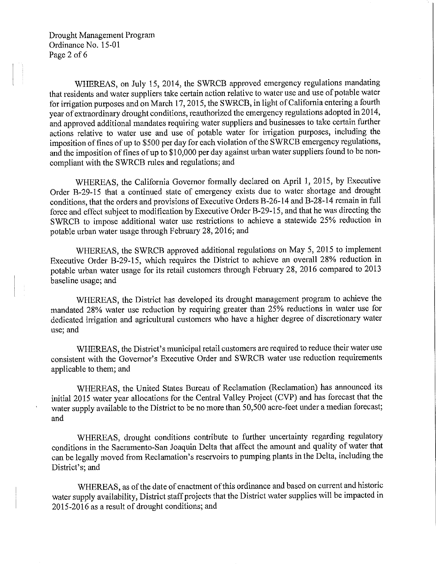Drought Management Program Ordinance No. 15-01 Page 2 of 6

WHEREAS, on July 15, 2014, the SWRCB approved emergency regulations mandating that residents and water suppliers take certain action relative to water use and use of potable water for irrigation purposes and on March 17, 2015, the SWRCB, in light of California entering a fourth year of extraordinary drought conditions, reauthorized the emergency regulations adopted in 2014, and approved additional mandates requiring water suppliers and businesses to take certain further actions relative to water use and use of potable water for irrigation purposes, including the imposition of fines of up to \$500 per day for each violation of the SWRCB emergency regulations, and the imposition of fines of up to \$10,000 per day against urban water suppliers found to be noncompliant with the SWRCB rules and regulations; and

WHEREAS, the California Governor formally declared on April 1, 2015, by Executive Order B-29-15 that a continued state of emergency exists due to water shottage and drought conditions, that the orders and provisions of Executive Orders B-26-14 and B-28-14 remain in full force and effect subject to modification by Executive Order B-29-15, and that he was directing the S WRCB to impose additional water use restrictions to achieve a statewide 25% reduction in potable urban water usage through February 28, 2016; and

WHEREAS, the SWRCB approved additional regulations on May 5, 2015 to implement Executive Order B-29-15, which requires the District to achieve an overall 28% reduction in potable urban water usage for its retail customers through February 28, 2016 compared to 2013 baseline usage; and

WHEREAS, the District has developed its drought management program to achieve the mandated 28% water use reduction by requiring greater than 25% reductions in water use for dedicated irrigation and agricultural customers who have a higher degree of discretionary water use; and

WHEREAS, the District's municipal retail customers are required to reduce their water use consistent with the Governor's Executive Order and SWRCB water use reduction requirements applicable to them; and

WHEREAS, the United States Bureau of Reclamation (Reclamation) has announced its initial 2015 water year allocations for the Central Valley Project (CVP) and has forecast that the water supply available to the District to be no more than 50,500 acre-feet under a median forecast; and

WHEREAS, drought conditions contribute to further uncertainty regarding regulatory conditions in the Sacramento-San Joaquin Delta that affect the amount and quality of water that can be legally moved from Reclamation's reservoirs to pumping plants in the Delta, including the District's; and

WHEREAS, as of the date of enactment of this ordinance and based on current and historic water supply availability, District staff projects that the District water supplies will be impacted in 2015-2016 as a result of drought conditions; and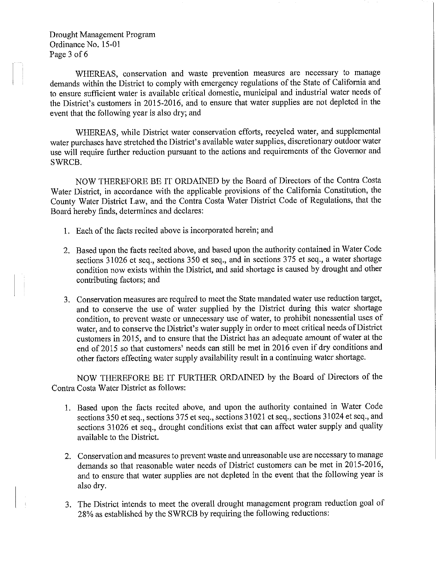Drought Management Program Ordinance No. 15-01 Page 3 of 6

WHEREAS, conservation and waste prevention measures are necessary to manage demands within the District to comply with emergency regulations of the State of California and to ensure sufficient water is available critical domestic, municipal and industrial water needs of the District's customers in 2015-2016, and to ensure that water supplies are not depleted in the event that the following year is also dry; and

WHEREAS, while District water conservation effotts, recycled water, and supplemental water purchases have stretched the District's available water supplies, discretionary outdoor water use will require further reduction pursuant to the actions and requirements of the Governor and SWRCB.

NOW THEREFORE BE IT ORDAINED by the Board of Directors of the Contra Costa Water District, in accordance with the applicable provisions of the California Constitution, the County Water District Law, and the Contra Costa Water District Code of Regulations, that the Board hereby finds, determines and declares:

- 1. Each of the facts recited above is incorporated herein; and
- 2. Based upon the facts recited above, and based upon the authority contained in Water Code sections 31026 et seq., sections 350 et seq., and in sections 375 et seq., a water shortage condition now exists within the District, and said shortage is caused by drought and other contributing factors; and
- 3. Conservation measures are required to meet the State mandated water use reduction target, and to conserve the use of water supplied by the District during this water shortage condition, to prevent waste or unnecessary use of water, to prohibit nonessential uses of water, and to conserve the District's water supply in order to meet critical needs of District customers in 2015, and to ensure that the District has an adequate amount of water at the end of 2015 so that customers' needs can still be met in 2016 even if dry conditions and other factors effecting water supply availability result in a continuing water shortage.

NOW THEREFORE BE IT FURTHER ORDAINED by the Board of Directors of the Contra Costa Water District as follows:

- 1. Based upon the facts recited above, and upon the authority contained in Water Code sections 350 et seq., sections 375 et seq., sections 31021 et seq., sections 31024 et seq., and sections 31026 et seq., drought conditions exist that can affect water supply and quality available to the District.
- 2. Conservation and measures to prevent waste and umeasonable use are necessary to manage demands so that reasonable water needs of District customers can be met in 2015-2016, and to ensure that water supplies are not depleted in the event that the following year is also dry.
- 3. The District intends to meet the overall drought management program reduction goal of 28% as established by the SWRCB by requiring the following reductions: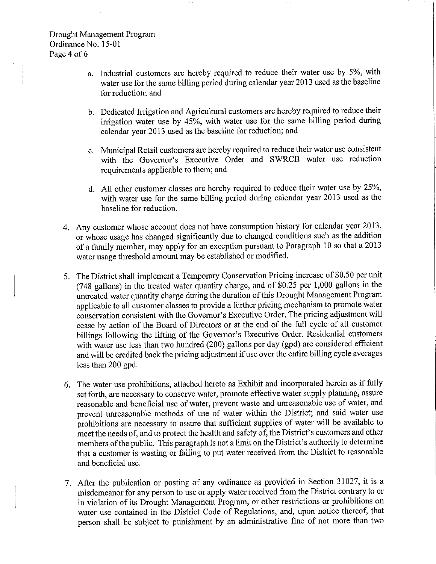- a. Industrial customers are hereby required to reduce their water use by 5%, with water use for the same billing period during calendar year 2013 used as the baseline for reduction; and
- b. Dedicated Irrigation and Agricultural customers are hereby required to reduce their irrigation water use by 45%, with water use for the same billing period during calendar year 2013 used as the baseline for reduction; and
- c. Municipal Retail customers are hereby required to reduce their water use consistent with the Governor's Executive Order and SWRCB water use reduction requirements applicable to them; and
- d. All other customer classes are hereby required to reduce their water use by 25%, with water use for the same billing period during calendar year 2013 used as the baseline for reduction.
- 4. Any customer whose account does not have consumption history for calendar year 2013, or whose usage has changed significantly due to changed conditions such as the addition ofa family member, may apply for an exception pursuant to Paragraph 10 so that a 2013 water usage threshold amount may be established or modified.
- 5. The District shall implement a Temporary Conservation Pricing increase of \$0.50 per unit (748 gallons) in the treated water quantity charge, and of \$0.25 per 1,000 gallons in the untreated water quantity charge during the duration of this Drought Management Program applicable to all customer classes to provide a further pricing mechanism to promote water conservation consistent with the Governor's Executive Order. The pricing adjustment will cease by action of the Board of Directors or at the end of the full cycle of all customer billings following the lifting of the Governor's Executive Order. Residential customers with water use less than two hundred (200) gallons per day (gpd) are considered efficient and will be credited back the pricing adjustment if use over the entire billing cycle averages less than 200 gpd.
- 6. The water use prohibitions, attached hereto as Exhibit and incorporated herein as if fully set forth, are necessary to conserve water, promote effective water supply planning, assure reasonable and beneficial use of water, prevent waste and unreasonable use of water, and prevent unreasonable methods of use of water within the District; and said water use prohibitions are necessary to assure that sufficient supplies of water will be available to meet the needs of, and to protect the health and safety of, the District's customers and other members of the public. This paragraph is not a limit on the District's authority to determine that a customer is wasting or failing to put water received from the District to reasonable and beneficial use.
- 7. After the publication or posting of any ordinance as provided in Section 31027, it is a misdemeanor for any person to use or apply water received from the District contrary to or in violation of its Drought Management Program, or other restrictions or prohibitions on water use contained in the District Code of Regulations, and, upon notice thereof, that person shall be subject to punishment by an administrative fine of not more than two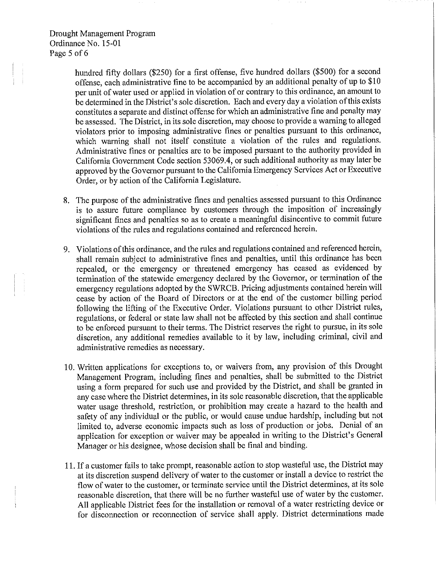Drought Management Program Ordinance No. 15-01 Page 5 of 6

> hundred fifty dollars (\$250) for a first offense, five hundred dollars (\$500) for a second offense, each administrative fine to be accompanied by an additional penalty of up to  $$10$ per unit of water used or applied in violation of or contrary to this ordinance, an amount to be determined in the District's sole discretion. Each and every day a violation ofthis exists constitutes a separate and distinct offense for which an administrative fine and penalty may be assessed. The District, in its sole discretion, may choose to provide a warning to alleged violators prior to imposing administrative fines or penalties pursuant to this ordinance, which warning shall not itself constitute a violation of the rules and regulations. Administrative fines or penalties are to be imposed pursuant to the authority provided in California Government Code section 53069.4, or such additional authority as may later be approved by the Governor pursuant to the California Emergency Services Act or Executive Order, or by action of the California Legislature.

- 8. The purpose of the administrative fines and penalties assessed pursuant to this Ordinance is to assure future compliance by customers through the imposition of increasingly significant fines and penalties so as to create a meaningful disincentive to commit future violations of the rules and regulations contained and referenced herein.
- 9. Violations ofthis ordinance, and the rules and regulations contained and referenced herein, shall remain subject to administrative fines and penalties, until this ordinance has been repealed, or the emergency or threatened emergency has ceased as evidenced by termination of the statewide emergency declared by the Governor, or termination of the emergency regulations adopted by the SWRCB. Pricing adjustments contained herein will cease by action of the Board of Directors or at the end of the customer billing period following the lifting of the Executive Order. Violations pursuant to other District rules, regulations, or federal or state law shall not be affected by this section and shall continue to be enforced pursuant to their terms. The District reserves the right to pursue, in its sole discretion, any additional remedies available to it by law, including criminal, civil and administrative remedies as necessary.
- 10. Written applications for exceptions to, or waivers from, any provision of this Drought Management Program, including fines and penalties, shall be submitted to the District using a form prepared for such use and provided by the District, and shall be granted in any case where the District determines, in its sole reasonable discretion, that the applicable water usage threshold, restriction, or prohibition may create a hazard to the health and safety of any individual or the public, or would cause undue hardship, including but not limited to, adverse economic impacts such as loss of production or jobs. Denial of an application for exception or waiver may be appealed in writing to the District's General Manager or his designee, whose decision shall be final and binding.
- 11. If a customer fails to take prompt, reasonable action to stop wasteful use, the District may at its discretion suspend delivery of water to the customer or install a device to restrict the flow of water to the customer, or terminate service until the District determines, at its sole reasonable discretion, that there will be no further wasteful use of water by the customer. All applicable District fees for the installation or removal of a water restricting device or for disconnection or reconnection of service shall apply. District determinations made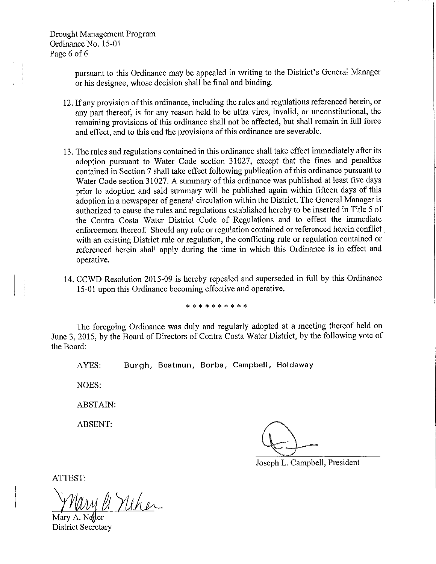Drought Management Program Ordinance No. 15-01 Page 6 of 6

> pursuant to this Ordinance may be appealed in writing to the District's General Manager or his designee, whose decision shall be final and binding.

- 12. If any provision of this ordinance, including the rules and regulations referenced herein, or any part thereof, is for any reason held to be ultra vires, invalid, or unconstitutional, the remaining provisions of this ordinance shall not be affected, but shall remain in full force and effect, and to this end the provisions of this ordinance are severable.
- 13. The rules and regulations contained in this ordinance shall take effect immediately after its adoption pursuant to Water Code section 31027, except that the fines and penalties contained in Section 7 shall take effect following publication of this ordinance pursuant to Water Code section 31027. A summary of this ordinance was published at least five days prior to adoption and said summary will be published again within fifteen days of this adoption in a newspaper of general circulation within the District. The General Manager is authorized to cause the rules and regulations established hereby to be inserted in Title 5 of the Contra Costa Water District Code of Regulations and to effect the immediate enforcement thereof. Should any rule or regulation contained or referenced herein conflict . with an existing District rule or regulation, the conflicting rule or regulation contained or referenced herein shall apply during the time in which this Ordinance is in effect and operative.
- 14. CCWD Resolution 2015-09 is hereby repealed and superseded in full by this Ordinance 15-01 upon this Ordinance becoming effective and operative.

\* \* \* \* \* \* \* \* \* \*

The foregoing Ordinance was duly and regularly adopted at a meeting thereof held on June 3, 2015, by the Board of Directors of Contra Costa Water District, by the following vote of the Board:

AYES: Burgh, Boatmun, Borba, Campbell, Holdaway

NOES:

ABSTAIN:

ABSENT:

Joseph L. Campbell, President

ATTEST:

*} Mary 11 Meher* 

District Secretary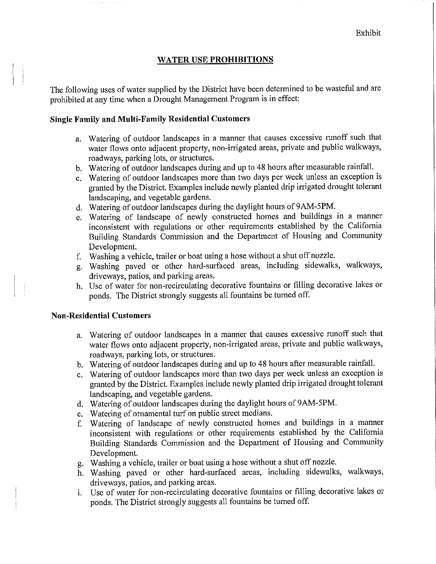# **WATER USE PROHIBITIONS**

The following uses of water supplied by the District have been determined to be wasteful and are prohibited at any time when a Drought Management Program is in effect:

### **Single Family and Multi-Family Residential Customers**

- a. Watering of outdoor landscapes in a manner that causes excessive runoff such that water flows onto adjacent property, non-irrigated areas, private and public walkways, roadways, parking lots, or structures.
- b. Watering of outdoor landscapes during and up to 48 hours after measurable rainfall.
- c. Watering of outdoor landscapes more than two days per week unless an exception is granted by the District. Examples include newly planted drip irrigated drought tolerant landscaping, and vegetable gardens.
- d. Watering of outdoor landscapes during the daylight hours of 9 AM-SPM.
- e. Watering of landscape of newly constructed homes and buildings in a manner inconsistent with regulations or other requirements established by the California Building Standards Commission and the Department of Housing and Community Development.
- f. Washing a vehicle, trailer or boat using a hose without a shut off nozzle.
- g. Washing paved or other hard-surfaced areas, including sidewalks, walkways, driveways, patios, and parking areas.
- h. Use of water for non-recirculating decorative fountains or filling decorative lakes or ponds. The District strongly suggests all fountains be turned off.

## **Non-Residential Customers**

- a. Watering of outdoor landscapes in a manner that causes excessive runoff such that water flows onto adjacent property, non-irrigated areas, private and public walkways, roadways, parking lots, or structures.
- b. Watering of outdoor landscapes during and up to 48 hours after measurable rainfall.
- c. Watering of outdoor landscapes more than two days per week unless an exception is granted by the District. Examples include newly planted drip irrigated drought tolerant landscaping, and vegetable gardens.
- d. Watering of outdoor landscapes during the daylight hours of 9 AM-SPM.
- e. Watering of ornamental turf on public street medians.
- f. Watering of landscape of newly constructed homes and buildings in a manner inconsistent with regulations or other requirements established by the California Building Standards Commission and the Department of Housing and Community Development.
- g. Washing a vehicle, trailer or boat using a hose without a shut off nozzle.
- h. Washing paved or other hard-surfaced areas, including sidewalks, walkways, driveways, patios, and parking areas.
- i. Use of water for non-recirculating decorative fountains or filling decorative lakes or ponds. The District strongly suggests all fountains be turned off.